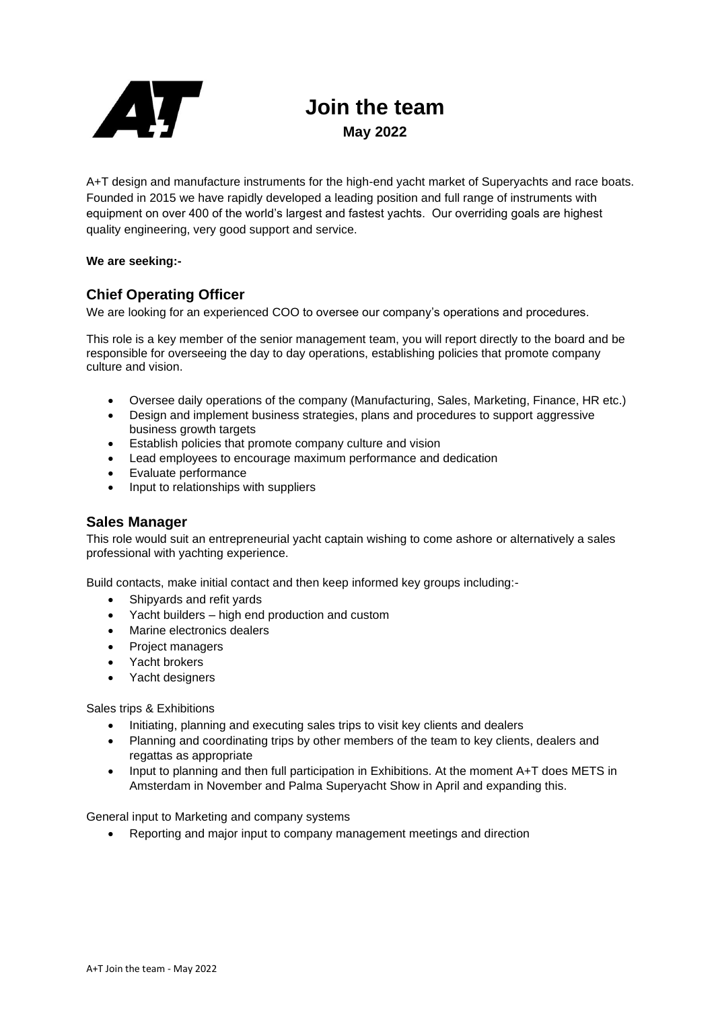

# **Join the team May 2022**

A+T design and manufacture instruments for the high-end yacht market of Superyachts and race boats. Founded in 2015 we have rapidly developed a leading position and full range of instruments with equipment on over 400 of the world's largest and fastest yachts. Our overriding goals are highest quality engineering, very good support and service.

### **We are seeking:-**

## **Chief Operating Officer**

We are looking for an experienced COO to oversee our company's operations and procedures.

This role is a key member of the senior management team, you will report directly to the board and be responsible for overseeing the day to day operations, establishing policies that promote company culture and vision.

- Oversee daily operations of the company (Manufacturing, Sales, Marketing, Finance, HR etc.)
- Design and implement business strategies, plans and procedures to support aggressive business growth targets
- Establish policies that promote company culture and vision
- Lead employees to encourage maximum performance and dedication
- Evaluate performance
- Input to relationships with suppliers

## **Sales Manager**

This role would suit an entrepreneurial yacht captain wishing to come ashore or alternatively a sales professional with yachting experience.

Build contacts, make initial contact and then keep informed key groups including:-

- Shipyards and refit yards
- Yacht builders high end production and custom
- Marine electronics dealers
- Project managers
- Yacht brokers
- Yacht designers

Sales trips & Exhibitions

- Initiating, planning and executing sales trips to visit key clients and dealers
- Planning and coordinating trips by other members of the team to key clients, dealers and regattas as appropriate
- Input to planning and then full participation in Exhibitions. At the moment A+T does METS in Amsterdam in November and Palma Superyacht Show in April and expanding this.

General input to Marketing and company systems

• Reporting and major input to company management meetings and direction